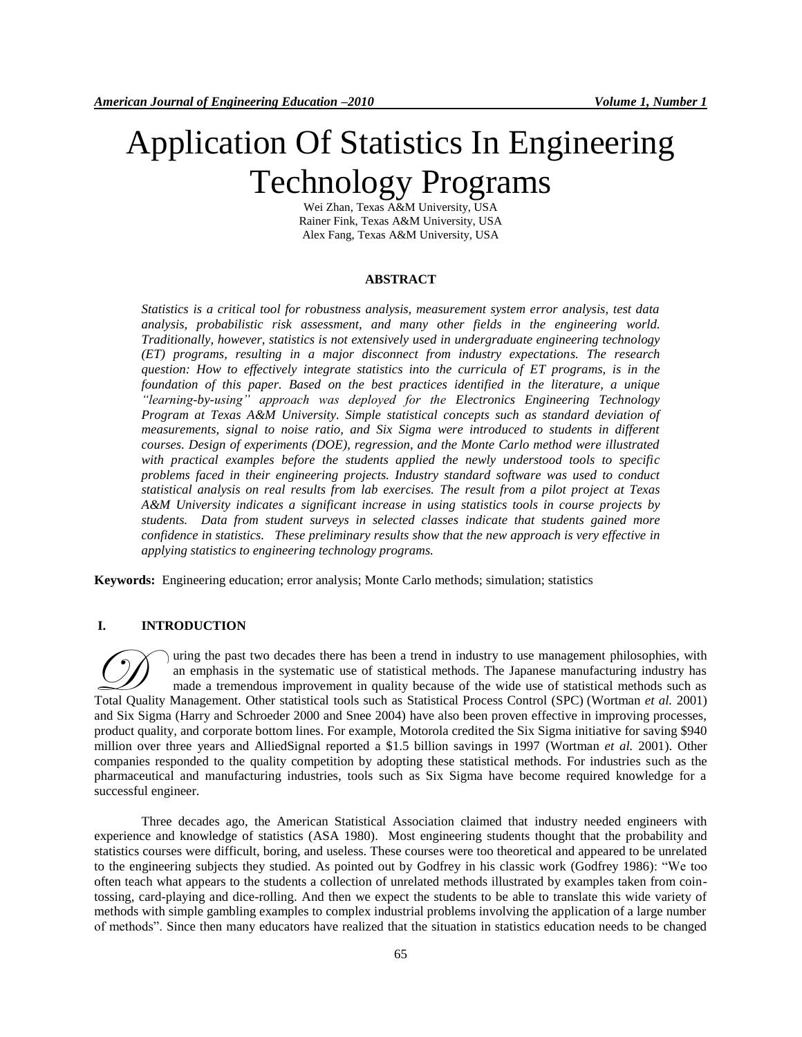# Application Of Statistics In Engineering Technology Programs

Wei Zhan, Texas A&M University, USA Rainer Fink, Texas A&M University, USA Alex Fang, Texas A&M University, USA

## **ABSTRACT**

*Statistics is a critical tool for robustness analysis, measurement system error analysis, test data analysis, probabilistic risk assessment, and many other fields in the engineering world. Traditionally, however, statistics is not extensively used in undergraduate engineering technology (ET) programs, resulting in a major disconnect from industry expectations. The research question: How to effectively integrate statistics into the curricula of ET programs, is in the foundation of this paper. Based on the best practices identified in the literature, a unique "learning-by-using" approach was deployed for the Electronics Engineering Technology Program at Texas A&M University. Simple statistical concepts such as standard deviation of measurements, signal to noise ratio, and Six Sigma were introduced to students in different courses. Design of experiments (DOE), regression, and the Monte Carlo method were illustrated with practical examples before the students applied the newly understood tools to specific problems faced in their engineering projects. Industry standard software was used to conduct statistical analysis on real results from lab exercises. The result from a pilot project at Texas A&M University indicates a significant increase in using statistics tools in course projects by students. Data from student surveys in selected classes indicate that students gained more confidence in statistics. These preliminary results show that the new approach is very effective in applying statistics to engineering technology programs.*

**Keywords:** Engineering education; error analysis; Monte Carlo methods; simulation; statistics

# **I. INTRODUCTION**

uring the past two decades there has been a trend in industry to use management philosophies, with an emphasis in the systematic use of statistical methods. The Japanese manufacturing industry has made a tremendous improvement in quality because of the wide use of statistical methods such as Total Quality Management. Other statistical tools such as Statistical methods. The Japanese manufacturing industry has made a tremendous improvement in quality because of the wide use of statistical methods such as Total Q and Six Sigma (Harry and Schroeder 2000 and Snee 2004) have also been proven effective in improving processes, product quality, and corporate bottom lines. For example, Motorola credited the Six Sigma initiative for saving \$940 million over three years and AlliedSignal reported a \$1.5 billion savings in 1997 (Wortman *et al.* 2001). Other companies responded to the quality competition by adopting these statistical methods. For industries such as the pharmaceutical and manufacturing industries, tools such as Six Sigma have become required knowledge for a successful engineer.

Three decades ago, the American Statistical Association claimed that industry needed engineers with experience and knowledge of statistics (ASA 1980). Most engineering students thought that the probability and statistics courses were difficult, boring, and useless. These courses were too theoretical and appeared to be unrelated to the engineering subjects they studied. As pointed out by Godfrey in his classic work (Godfrey 1986): "We too often teach what appears to the students a collection of unrelated methods illustrated by examples taken from cointossing, card-playing and dice-rolling. And then we expect the students to be able to translate this wide variety of methods with simple gambling examples to complex industrial problems involving the application of a large number of methods". Since then many educators have realized that the situation in statistics education needs to be changed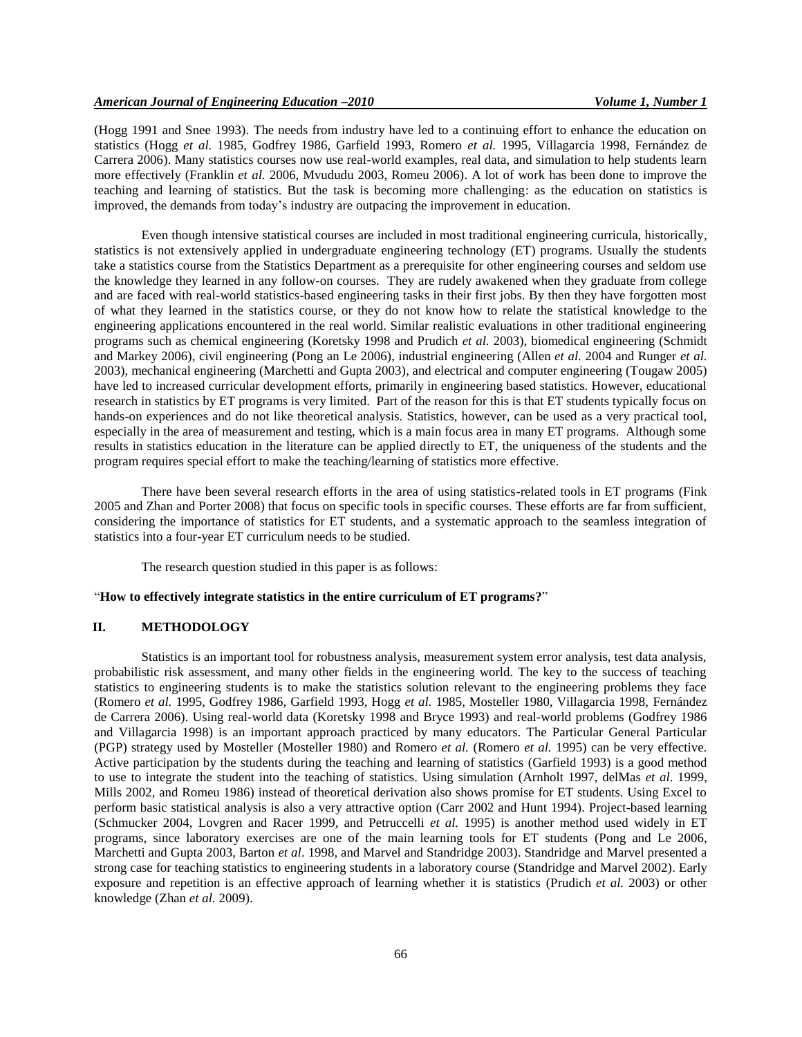(Hogg 1991 and Snee 1993). The needs from industry have led to a continuing effort to enhance the education on statistics (Hogg *et al.* 1985, Godfrey 1986, Garfield 1993, Romero *et al.* 1995, Villagarcia 1998, Fernández de Carrera 2006). Many statistics courses now use real-world examples, real data, and simulation to help students learn more effectively (Franklin *et al.* 2006, Mvududu 2003, Romeu 2006). A lot of work has been done to improve the teaching and learning of statistics. But the task is becoming more challenging: as the education on statistics is improved, the demands from today's industry are outpacing the improvement in education.

Even though intensive statistical courses are included in most traditional engineering curricula, historically, statistics is not extensively applied in undergraduate engineering technology (ET) programs. Usually the students take a statistics course from the Statistics Department as a prerequisite for other engineering courses and seldom use the knowledge they learned in any follow-on courses. They are rudely awakened when they graduate from college and are faced with real-world statistics-based engineering tasks in their first jobs. By then they have forgotten most of what they learned in the statistics course, or they do not know how to relate the statistical knowledge to the engineering applications encountered in the real world. Similar realistic evaluations in other traditional engineering programs such as chemical engineering (Koretsky 1998 and Prudich *et al.* 2003), biomedical engineering (Schmidt and Markey 2006), civil engineering (Pong an Le 2006), industrial engineering (Allen *et al.* 2004 and Runger *et al.* 2003), mechanical engineering (Marchetti and Gupta 2003), and electrical and computer engineering (Tougaw 2005) have led to increased curricular development efforts, primarily in engineering based statistics. However, educational research in statistics by ET programs is very limited. Part of the reason for this is that ET students typically focus on hands-on experiences and do not like theoretical analysis. Statistics, however, can be used as a very practical tool, especially in the area of measurement and testing, which is a main focus area in many ET programs. Although some results in statistics education in the literature can be applied directly to ET, the uniqueness of the students and the program requires special effort to make the teaching/learning of statistics more effective.

There have been several research efforts in the area of using statistics-related tools in ET programs (Fink 2005 and Zhan and Porter 2008) that focus on specific tools in specific courses. These efforts are far from sufficient, considering the importance of statistics for ET students, and a systematic approach to the seamless integration of statistics into a four-year ET curriculum needs to be studied.

The research question studied in this paper is as follows:

## "**How to effectively integrate statistics in the entire curriculum of ET programs?**"

# **II. METHODOLOGY**

Statistics is an important tool for robustness analysis, measurement system error analysis, test data analysis, probabilistic risk assessment, and many other fields in the engineering world. The key to the success of teaching statistics to engineering students is to make the statistics solution relevant to the engineering problems they face (Romero *et al.* 1995, Godfrey 1986, Garfield 1993, Hogg *et al.* 1985, Mosteller 1980, Villagarcia 1998, Fernández de Carrera 2006). Using real-world data (Koretsky 1998 and Bryce 1993) and real-world problems (Godfrey 1986 and Villagarcia 1998) is an important approach practiced by many educators. The Particular General Particular (PGP) strategy used by Mosteller (Mosteller 1980) and Romero *et al.* (Romero *et al.* 1995) can be very effective. Active participation by the students during the teaching and learning of statistics (Garfield 1993) is a good method to use to integrate the student into the teaching of statistics. Using simulation (Arnholt 1997, delMas *et al*. 1999, Mills 2002, and Romeu 1986) instead of theoretical derivation also shows promise for ET students. Using Excel to perform basic statistical analysis is also a very attractive option (Carr 2002 and Hunt 1994). Project-based learning (Schmucker 2004, Lovgren and Racer 1999, and Petruccelli *et al.* 1995) is another method used widely in ET programs, since laboratory exercises are one of the main learning tools for ET students (Pong and Le 2006, Marchetti and Gupta 2003, Barton *et al*. 1998, and Marvel and Standridge 2003). Standridge and Marvel presented a strong case for teaching statistics to engineering students in a laboratory course (Standridge and Marvel 2002). Early exposure and repetition is an effective approach of learning whether it is statistics (Prudich *et al.* 2003) or other knowledge (Zhan *et al.* 2009).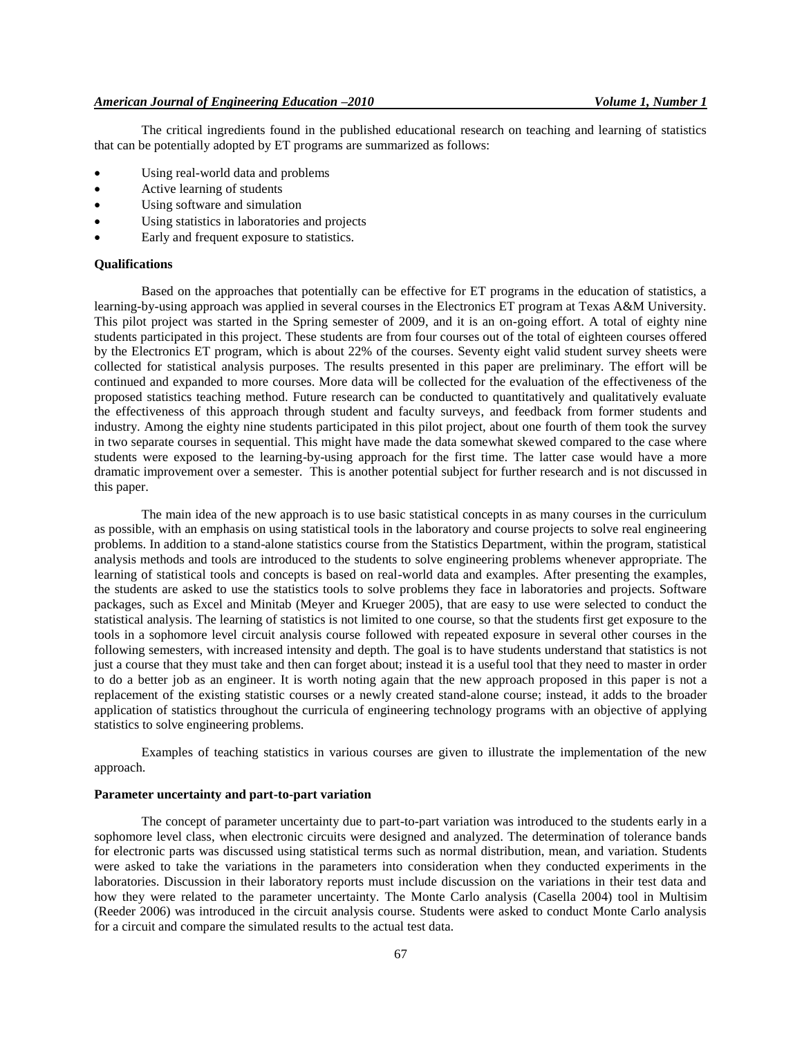The critical ingredients found in the published educational research on teaching and learning of statistics that can be potentially adopted by ET programs are summarized as follows:

- Using real-world data and problems
- Active learning of students
- Using software and simulation
- Using statistics in laboratories and projects
- Early and frequent exposure to statistics.

# **Qualifications**

Based on the approaches that potentially can be effective for ET programs in the education of statistics, a learning-by-using approach was applied in several courses in the Electronics ET program at Texas A&M University. This pilot project was started in the Spring semester of 2009, and it is an on-going effort. A total of eighty nine students participated in this project. These students are from four courses out of the total of eighteen courses offered by the Electronics ET program, which is about 22% of the courses. Seventy eight valid student survey sheets were collected for statistical analysis purposes. The results presented in this paper are preliminary. The effort will be continued and expanded to more courses. More data will be collected for the evaluation of the effectiveness of the proposed statistics teaching method. Future research can be conducted to quantitatively and qualitatively evaluate the effectiveness of this approach through student and faculty surveys, and feedback from former students and industry. Among the eighty nine students participated in this pilot project, about one fourth of them took the survey in two separate courses in sequential. This might have made the data somewhat skewed compared to the case where students were exposed to the learning-by-using approach for the first time. The latter case would have a more dramatic improvement over a semester. This is another potential subject for further research and is not discussed in this paper.

The main idea of the new approach is to use basic statistical concepts in as many courses in the curriculum as possible, with an emphasis on using statistical tools in the laboratory and course projects to solve real engineering problems. In addition to a stand-alone statistics course from the Statistics Department, within the program, statistical analysis methods and tools are introduced to the students to solve engineering problems whenever appropriate. The learning of statistical tools and concepts is based on real-world data and examples. After presenting the examples, the students are asked to use the statistics tools to solve problems they face in laboratories and projects. Software packages, such as Excel and Minitab (Meyer and Krueger 2005), that are easy to use were selected to conduct the statistical analysis. The learning of statistics is not limited to one course, so that the students first get exposure to the tools in a sophomore level circuit analysis course followed with repeated exposure in several other courses in the following semesters, with increased intensity and depth. The goal is to have students understand that statistics is not just a course that they must take and then can forget about; instead it is a useful tool that they need to master in order to do a better job as an engineer. It is worth noting again that the new approach proposed in this paper is not a replacement of the existing statistic courses or a newly created stand-alone course; instead, it adds to the broader application of statistics throughout the curricula of engineering technology programs with an objective of applying statistics to solve engineering problems.

Examples of teaching statistics in various courses are given to illustrate the implementation of the new approach.

## **Parameter uncertainty and part-to-part variation**

The concept of parameter uncertainty due to part-to-part variation was introduced to the students early in a sophomore level class, when electronic circuits were designed and analyzed. The determination of tolerance bands for electronic parts was discussed using statistical terms such as normal distribution, mean, and variation. Students were asked to take the variations in the parameters into consideration when they conducted experiments in the laboratories. Discussion in their laboratory reports must include discussion on the variations in their test data and how they were related to the parameter uncertainty. The Monte Carlo analysis (Casella 2004) tool in Multisim (Reeder 2006) was introduced in the circuit analysis course. Students were asked to conduct Monte Carlo analysis for a circuit and compare the simulated results to the actual test data.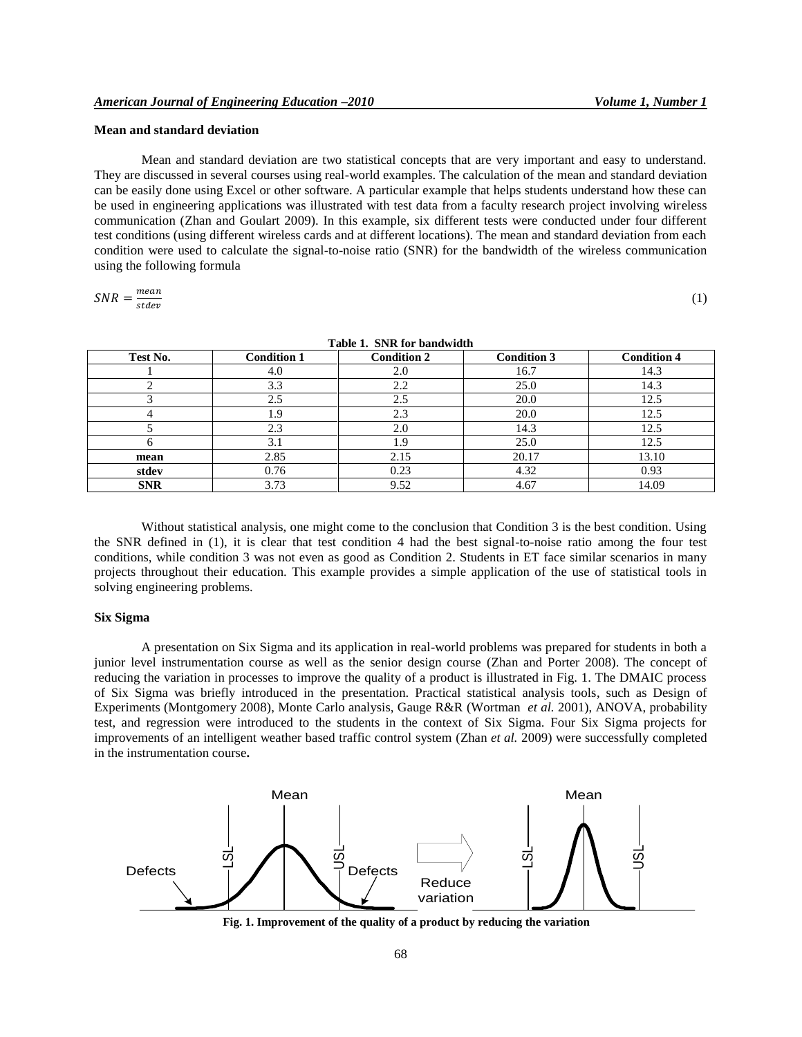(1)

## **Mean and standard deviation**

Mean and standard deviation are two statistical concepts that are very important and easy to understand. They are discussed in several courses using real-world examples. The calculation of the mean and standard deviation can be easily done using Excel or other software. A particular example that helps students understand how these can be used in engineering applications was illustrated with test data from a faculty research project involving wireless communication (Zhan and Goulart 2009). In this example, six different tests were conducted under four different test conditions (using different wireless cards and at different locations). The mean and standard deviation from each condition were used to calculate the signal-to-noise ratio (SNR) for the bandwidth of the wireless communication using the following formula

$$
SNR = \frac{mean}{state}
$$

|            | $-$ 0.0 $-$ 0.0 $-$ 0.0 $-$ 0.00 $-$ 0.00 $-$ 0.00 $-$ 0.00 $-$ 0.00 $-$ 0.00 $-$ 0.00 $-$ 0.00 $-$ 0.00 $-$ 0.00 $-$ 0.00 $-$ 0.00 $-$ 0.00 $-$ 0.00 $-$ 0.00 $-$ 0.00 $-$ 0.00 $-$ 0.00 $-$ 0.00 $-$ 0.00 $-$ 0.00 $-$ 0.00 |                    |                    |                    |  |  |  |
|------------|-------------------------------------------------------------------------------------------------------------------------------------------------------------------------------------------------------------------------------|--------------------|--------------------|--------------------|--|--|--|
| Test No.   | <b>Condition 1</b>                                                                                                                                                                                                            | <b>Condition 2</b> | <b>Condition 3</b> | <b>Condition 4</b> |  |  |  |
|            | 4.0                                                                                                                                                                                                                           | 2.0                | 16.7               | 14.3               |  |  |  |
|            | 3.3                                                                                                                                                                                                                           | 2.2                | 25.0               | 14.3               |  |  |  |
|            | 2.5                                                                                                                                                                                                                           | 2.5                | 20.0               | 12.5               |  |  |  |
|            | . .9                                                                                                                                                                                                                          | 2.3                | 20.0               | 12.5               |  |  |  |
|            | 2.3                                                                                                                                                                                                                           | 2.0                | 14.3               | 12.5               |  |  |  |
|            | 3.1                                                                                                                                                                                                                           | 1.9                | 25.0               | 12.5               |  |  |  |
| mean       | 2.85                                                                                                                                                                                                                          | 2.15               | 20.17              | 13.10              |  |  |  |
| stdev      | 0.76                                                                                                                                                                                                                          | 0.23               | 4.32               | 0.93               |  |  |  |
| <b>SNR</b> | 3.73                                                                                                                                                                                                                          | 9.52               | 4.67               | 14.09              |  |  |  |

**Table 1. SNR for bandwidth**

Without statistical analysis, one might come to the conclusion that Condition 3 is the best condition. Using the SNR defined in (1), it is clear that test condition 4 had the best signal-to-noise ratio among the four test conditions, while condition 3 was not even as good as Condition 2. Students in ET face similar scenarios in many projects throughout their education. This example provides a simple application of the use of statistical tools in solving engineering problems.

## **Six Sigma**

A presentation on Six Sigma and its application in real-world problems was prepared for students in both a junior level instrumentation course as well as the senior design course (Zhan and Porter 2008). The concept of reducing the variation in processes to improve the quality of a product is illustrated in Fig. 1. The DMAIC process of Six Sigma was briefly introduced in the presentation. Practical statistical analysis tools, such as Design of Experiments (Montgomery 2008), Monte Carlo analysis, Gauge R&R (Wortman *et al.* 2001), ANOVA, probability test, and regression were introduced to the students in the context of Six Sigma. Four Six Sigma projects for improvements of an intelligent weather based traffic control system (Zhan *et al.* 2009) were successfully completed in the instrumentation course**.**



**Fig. 1. Improvement of the quality of a product by reducing the variation**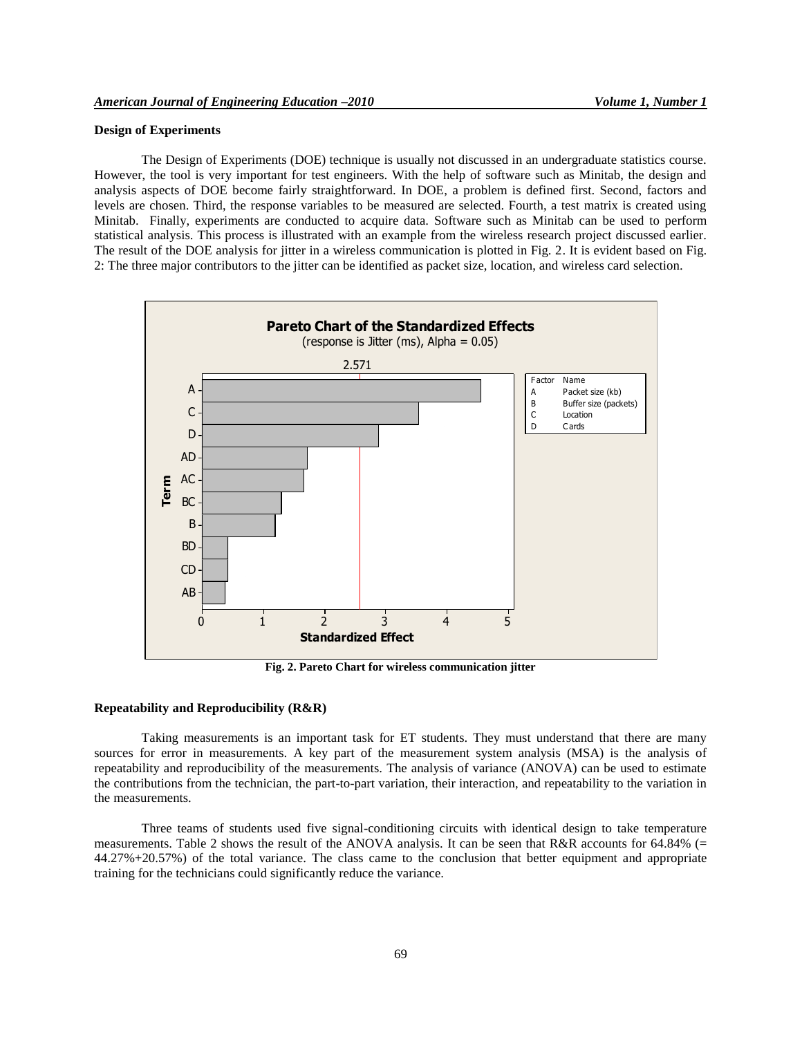# **Design of Experiments**

The Design of Experiments (DOE) technique is usually not discussed in an undergraduate statistics course. However, the tool is very important for test engineers. With the help of software such as Minitab, the design and analysis aspects of DOE become fairly straightforward. In DOE, a problem is defined first. Second, factors and levels are chosen. Third, the response variables to be measured are selected. Fourth, a test matrix is created using Minitab. Finally, experiments are conducted to acquire data. Software such as Minitab can be used to perform statistical analysis. This process is illustrated with an example from the wireless research project discussed earlier. The result of the DOE analysis for jitter in a wireless communication is plotted in Fig. 2. It is evident based on Fig. 2: The three major contributors to the jitter can be identified as packet size, location, and wireless card selection.



**Fig. 2. Pareto Chart for wireless communication jitter**

#### **Repeatability and Reproducibility (R&R)**

Taking measurements is an important task for ET students. They must understand that there are many sources for error in measurements. A key part of the measurement system analysis (MSA) is the analysis of repeatability and reproducibility of the measurements. The analysis of variance (ANOVA) can be used to estimate the contributions from the technician, the part-to-part variation, their interaction, and repeatability to the variation in the measurements.

Three teams of students used five signal-conditioning circuits with identical design to take temperature measurements. Table 2 shows the result of the ANOVA analysis. It can be seen that R&R accounts for 64.84% (= 44.27%+20.57%) of the total variance. The class came to the conclusion that better equipment and appropriate training for the technicians could significantly reduce the variance.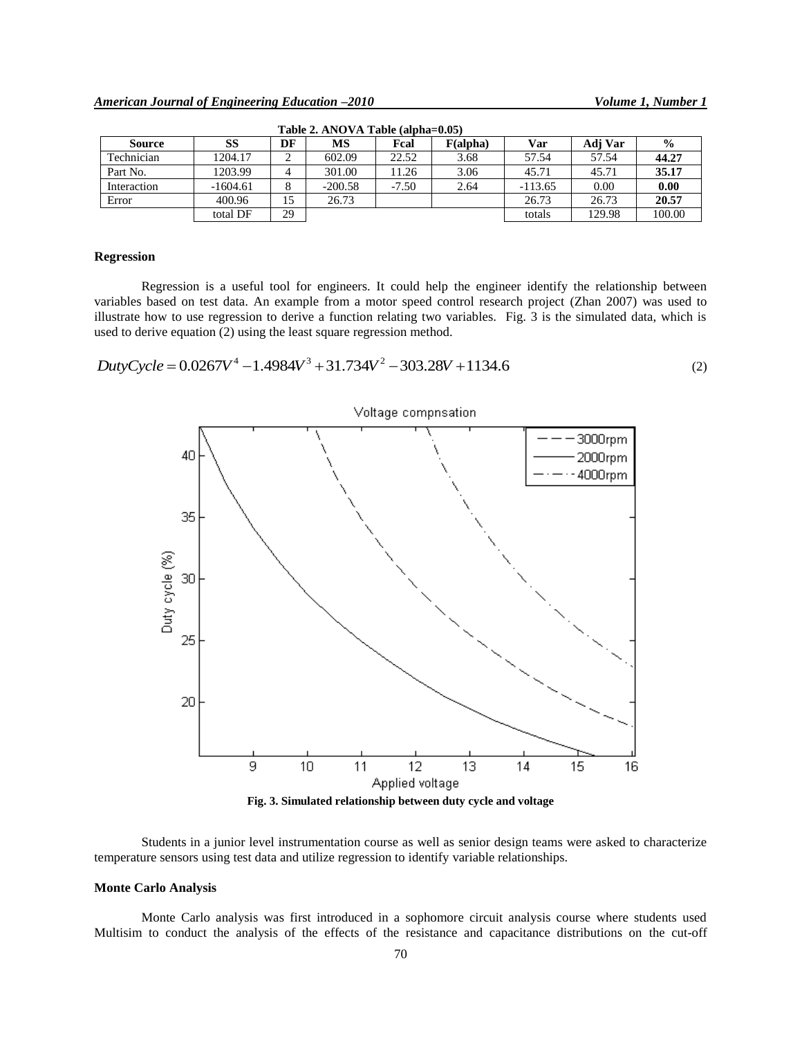| Table 2. Alvo v A Table (albila-0.03) |            |    |           |         |          |           |         |               |
|---------------------------------------|------------|----|-----------|---------|----------|-----------|---------|---------------|
| Source                                | SS         | DF | МS        | Fcal    | F(alpha) | Var       | Adi Var | $\frac{0}{0}$ |
| Technician                            | 1204.17    |    | 602.09    | 22.52   | 3.68     | 57.54     | 57.54   | 44.27         |
| Part No.                              | 1203.99    |    | 301.00    | 1.26    | 3.06     | 45.71     | 45.71   | 35.17         |
| Interaction                           | $-1604.61$ |    | $-200.58$ | $-7.50$ | 2.64     | $-113.65$ | 0.00    | 0.00          |
| Error                                 | 400.96     | 15 | 26.73     |         |          | 26.73     | 26.73   | 20.57         |
|                                       | total DF   | 29 |           |         |          | totals    | 129.98  | 100.00        |

**Table 2. ANOVA Table (alpha=0.05)**

## **Regression**

Regression is a useful tool for engineers. It could help the engineer identify the relationship between variables based on test data. An example from a motor speed control research project (Zhan 2007) was used to illustrate how to use regression to derive a function relating two variables. Fig. 3 is the simulated data, which is used to derive equation (2) using the least square regression method.

 $DutyCycle = 0.0267V<sup>4</sup> - 1.4984V<sup>3</sup> + 31.734V<sup>2</sup> - 303.28V + 1134.6$ 





Students in a junior level instrumentation course as well as senior design teams were asked to characterize temperature sensors using test data and utilize regression to identify variable relationships.

#### **Monte Carlo Analysis**

Monte Carlo analysis was first introduced in a sophomore circuit analysis course where students used Multisim to conduct the analysis of the effects of the resistance and capacitance distributions on the cut-off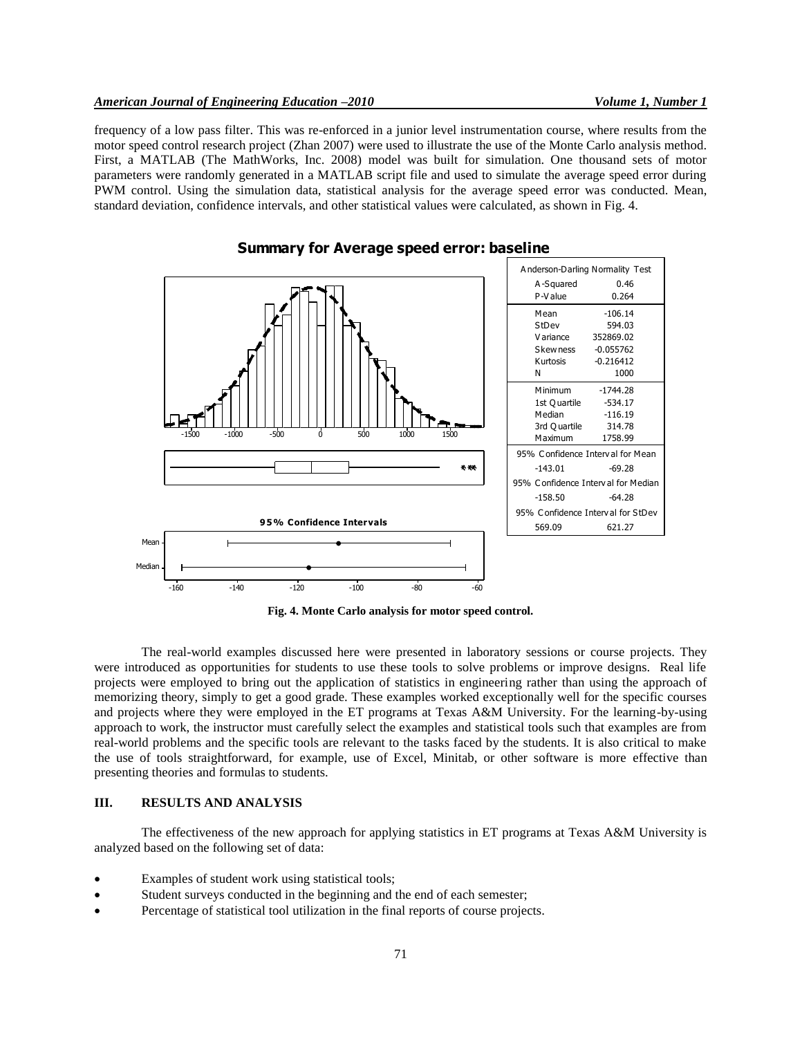frequency of a low pass filter. This was re-enforced in a junior level instrumentation course, where results from the motor speed control research project (Zhan 2007) were used to illustrate the use of the Monte Carlo analysis method. First, a MATLAB (The MathWorks, Inc. 2008) model was built for simulation. One thousand sets of motor parameters were randomly generated in a MATLAB script file and used to simulate the average speed error during PWM control. Using the simulation data, statistical analysis for the average speed error was conducted. Mean, standard deviation, confidence intervals, and other statistical values were calculated, as shown in Fig. 4.



**Summary for Average speed error: baseline**

**Fig. 4. Monte Carlo analysis for motor speed control.**

The real-world examples discussed here were presented in laboratory sessions or course projects. They were introduced as opportunities for students to use these tools to solve problems or improve designs. Real life projects were employed to bring out the application of statistics in engineering rather than using the approach of memorizing theory, simply to get a good grade. These examples worked exceptionally well for the specific courses and projects where they were employed in the ET programs at Texas A&M University. For the learning-by-using approach to work, the instructor must carefully select the examples and statistical tools such that examples are from real-world problems and the specific tools are relevant to the tasks faced by the students. It is also critical to make the use of tools straightforward, for example, use of Excel, Minitab, or other software is more effective than presenting theories and formulas to students.

# **III. RESULTS AND ANALYSIS**

The effectiveness of the new approach for applying statistics in ET programs at Texas A&M University is analyzed based on the following set of data:

- Examples of student work using statistical tools;
- Student surveys conducted in the beginning and the end of each semester;
- Percentage of statistical tool utilization in the final reports of course projects.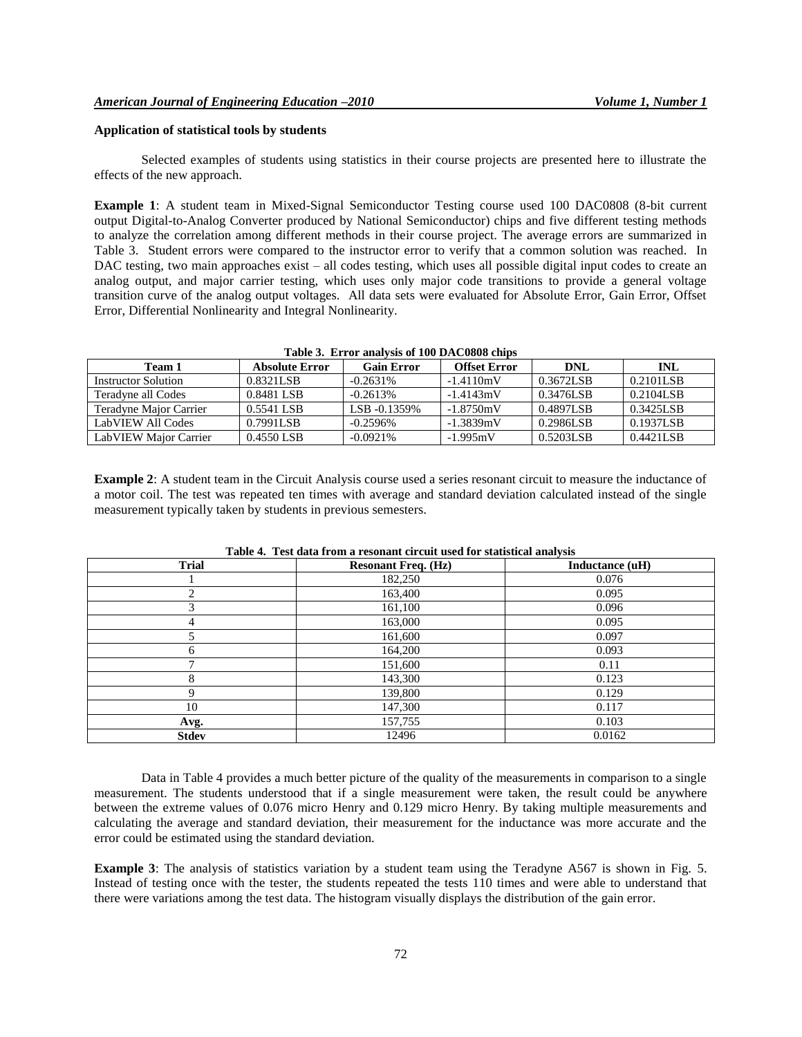## **Application of statistical tools by students**

Selected examples of students using statistics in their course projects are presented here to illustrate the effects of the new approach.

**Example 1**: A student team in Mixed-Signal Semiconductor Testing course used 100 DAC0808 (8-bit current output Digital-to-Analog Converter produced by National Semiconductor) chips and five different testing methods to analyze the correlation among different methods in their course project. The average errors are summarized in Table [3.](#page-7-0) Student errors were compared to the instructor error to verify that a common solution was reached. In DAC testing, two main approaches exist – all codes testing, which uses all possible digital input codes to create an analog output, and major carrier testing, which uses only major code transitions to provide a general voltage transition curve of the analog output voltages. All data sets were evaluated for Absolute Error, Gain Error, Offset Error, Differential Nonlinearity and Integral Nonlinearity.

| THE V. EITH MINITION OF TWO DITCOOOD CHIPS |                |                   |                     |            |            |  |  |  |
|--------------------------------------------|----------------|-------------------|---------------------|------------|------------|--|--|--|
| Team 1                                     | Absolute Error | <b>Gain Error</b> | <b>Offset Error</b> | <b>DNL</b> | <b>INL</b> |  |  |  |
| Instructor Solution                        | 0.8321LSB      | $-0.2631\%$       | $-1.4110mV$         | 0.3672LSB  | 0.2101LSB  |  |  |  |
| Teradyne all Codes                         | 0.8481 LSB     | $-0.2613%$        | $-1.4143mV$         | 0.3476LSB  | 0.2104LSB  |  |  |  |
| Teradyne Major Carrier                     | 0.5541 LSB     | LSB -0.1359%      | $-1.8750mV$         | 0.4897LSB  | 0.3425LSB  |  |  |  |
| LabVIEW All Codes                          | 0.7991LSB      | $-0.2596\%$       | $-1.3839mV$         | 0.2986LSB  | 0.1937LSB  |  |  |  |
| LabVIEW Major Carrier                      | 0.4550 LSB     | $-0.0921%$        | $-1.995mV$          | 0.5203LSB  | 0.4421LSB  |  |  |  |

<span id="page-7-0"></span>

| Table 3. Error analysis of 100 DAC0808 chips |  |  |  |  |  |  |
|----------------------------------------------|--|--|--|--|--|--|
|----------------------------------------------|--|--|--|--|--|--|

**Example 2**: A student team in the Circuit Analysis course used a series resonant circuit to measure the inductance of a motor coil. The test was repeated ten times with average and standard deviation calculated instead of the single measurement typically taken by students in previous semesters.

| <b>Trial</b> | <b>Resonant Freq. (Hz)</b> | Inductance (uH) |
|--------------|----------------------------|-----------------|
|              | 182,250                    | 0.076           |
| 2            | 163,400                    | 0.095           |
| 3            | 161,100                    | 0.096           |
| 4            | 163,000                    | 0.095           |
|              | 161,600                    | 0.097           |
| 6            | 164,200                    | 0.093           |
|              | 151,600                    | 0.11            |
| 8            | 143,300                    | 0.123           |
| $\mathbf Q$  | 139,800                    | 0.129           |
| 10           | 147,300                    | 0.117           |
| Avg.         | 157,755                    | 0.103           |
| <b>Stdev</b> | 12496                      | 0.0162          |

**Table 4. Test data from a resonant circuit used for statistical analysis**

Data in Table 4 provides a much better picture of the quality of the measurements in comparison to a single measurement. The students understood that if a single measurement were taken, the result could be anywhere between the extreme values of 0.076 micro Henry and 0.129 micro Henry. By taking multiple measurements and calculating the average and standard deviation, their measurement for the inductance was more accurate and the error could be estimated using the standard deviation.

**Example 3**: The analysis of statistics variation by a student team using the Teradyne A567 is shown in Fig. [5.](#page-8-0) Instead of testing once with the tester, the students repeated the tests 110 times and were able to understand that there were variations among the test data. The histogram visually displays the distribution of the gain error.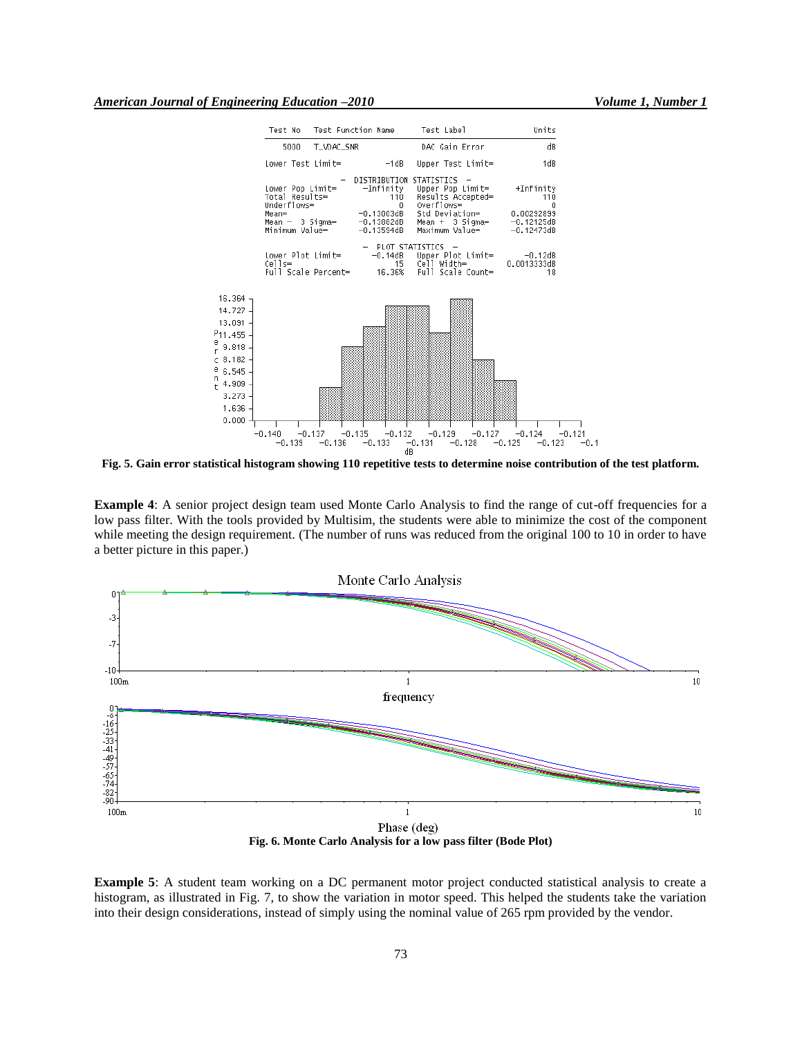'n



<span id="page-8-0"></span>**Fig. 5. Gain error statistical histogram showing 110 repetitive tests to determine noise contribution of the test platform.**

**Example 4**: A senior project design team used Monte Carlo Analysis to find the range of cut-off frequencies for a low pass filter. With the tools provided by Multisim, the students were able to minimize the cost of the component while meeting the design requirement. (The number of runs was reduced from the original 100 to 10 in order to have a better picture in this paper.)



**Example 5**: A student team working on a DC permanent motor project conducted statistical analysis to create a histogram, as illustrated in Fig. 7, to show the variation in motor speed. This helped the students take the variation into their design considerations, instead of simply using the nominal value of 265 rpm provided by the vendor.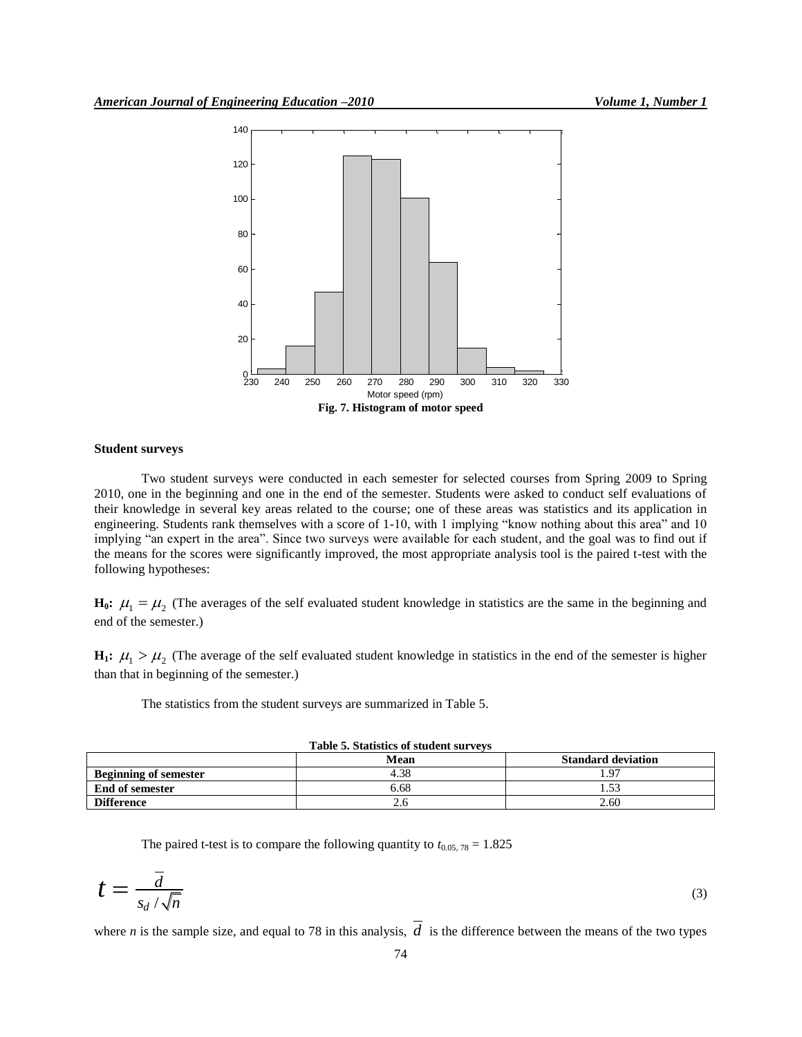

## **Student surveys**

Two student surveys were conducted in each semester for selected courses from Spring 2009 to Spring 2010, one in the beginning and one in the end of the semester. Students were asked to conduct self evaluations of their knowledge in several key areas related to the course; one of these areas was statistics and its application in engineering. Students rank themselves with a score of 1-10, with 1 implying "know nothing about this area" and 10 implying "an expert in the area". Since two surveys were available for each student, and the goal was to find out if the means for the scores were significantly improved, the most appropriate analysis tool is the paired t-test with the following hypotheses:

 $H_0$ **:**  $\mu_1 = \mu_2$  (The averages of the self evaluated student knowledge in statistics are the same in the beginning and end of the semester.)

 $H_1$ :  $\mu_1 > \mu_2$  (The average of the self evaluated student knowledge in statistics in the end of the semester is higher than that in beginning of the semester.)

The statistics from the student surveys are summarized in Table 5.

| Table 5. Statistics of student surveys |      |                           |  |  |  |
|----------------------------------------|------|---------------------------|--|--|--|
|                                        | Mean | <b>Standard deviation</b> |  |  |  |
| <b>Beginning of semester</b>           | 4.38 | 4.97                      |  |  |  |
| End of semester                        | 6.68 | 1.53                      |  |  |  |
| <b>Difference</b>                      |      | 2.60                      |  |  |  |

|  | <b>Table 5. Statistics of student survevs</b> |  |  |
|--|-----------------------------------------------|--|--|
|  |                                               |  |  |

The paired t-test is to compare the following quantity to  $t_{0.05, 78} = 1.825$ 

$$
t = \frac{\overline{d}}{s_d / \sqrt{n}}\tag{3}
$$

where *n* is the sample size, and equal to 78 in this analysis,  $d$  is the difference between the means of the two types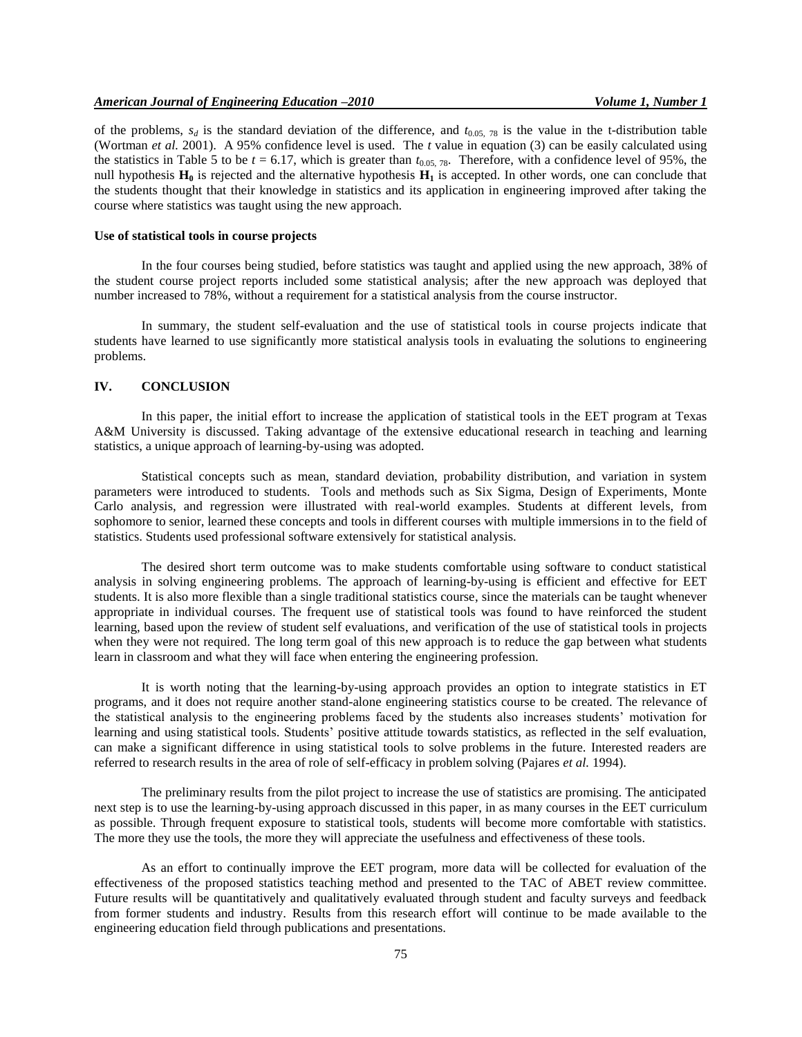of the problems,  $s_d$  is the standard deviation of the difference, and  $t_{0.05, 78}$  is the value in the t-distribution table (Wortman *et al.* 2001). A 95% confidence level is used. The *t* value in equation (3) can be easily calculated using the statistics in Table 5 to be  $t = 6.17$ , which is greater than  $t_{0.05, 78}$ . Therefore, with a confidence level of 95%, the null hypothesis  $\mathbf{H}_0$  is rejected and the alternative hypothesis  $\mathbf{H}_1$  is accepted. In other words, one can conclude that the students thought that their knowledge in statistics and its application in engineering improved after taking the course where statistics was taught using the new approach.

# **Use of statistical tools in course projects**

In the four courses being studied, before statistics was taught and applied using the new approach, 38% of the student course project reports included some statistical analysis; after the new approach was deployed that number increased to 78%, without a requirement for a statistical analysis from the course instructor.

In summary, the student self-evaluation and the use of statistical tools in course projects indicate that students have learned to use significantly more statistical analysis tools in evaluating the solutions to engineering problems.

# **IV. CONCLUSION**

In this paper, the initial effort to increase the application of statistical tools in the EET program at Texas A&M University is discussed. Taking advantage of the extensive educational research in teaching and learning statistics, a unique approach of learning-by-using was adopted.

Statistical concepts such as mean, standard deviation, probability distribution, and variation in system parameters were introduced to students. Tools and methods such as Six Sigma, Design of Experiments, Monte Carlo analysis, and regression were illustrated with real-world examples. Students at different levels, from sophomore to senior, learned these concepts and tools in different courses with multiple immersions in to the field of statistics. Students used professional software extensively for statistical analysis.

The desired short term outcome was to make students comfortable using software to conduct statistical analysis in solving engineering problems. The approach of learning-by-using is efficient and effective for EET students. It is also more flexible than a single traditional statistics course, since the materials can be taught whenever appropriate in individual courses. The frequent use of statistical tools was found to have reinforced the student learning, based upon the review of student self evaluations, and verification of the use of statistical tools in projects when they were not required. The long term goal of this new approach is to reduce the gap between what students learn in classroom and what they will face when entering the engineering profession.

It is worth noting that the learning-by-using approach provides an option to integrate statistics in ET programs, and it does not require another stand-alone engineering statistics course to be created. The relevance of the statistical analysis to the engineering problems faced by the students also increases students' motivation for learning and using statistical tools. Students' positive attitude towards statistics, as reflected in the self evaluation, can make a significant difference in using statistical tools to solve problems in the future. Interested readers are referred to research results in the area of role of self-efficacy in problem solving (Pajares *et al.* 1994).

The preliminary results from the pilot project to increase the use of statistics are promising. The anticipated next step is to use the learning-by-using approach discussed in this paper, in as many courses in the EET curriculum as possible. Through frequent exposure to statistical tools, students will become more comfortable with statistics. The more they use the tools, the more they will appreciate the usefulness and effectiveness of these tools.

As an effort to continually improve the EET program, more data will be collected for evaluation of the effectiveness of the proposed statistics teaching method and presented to the TAC of ABET review committee. Future results will be quantitatively and qualitatively evaluated through student and faculty surveys and feedback from former students and industry. Results from this research effort will continue to be made available to the engineering education field through publications and presentations.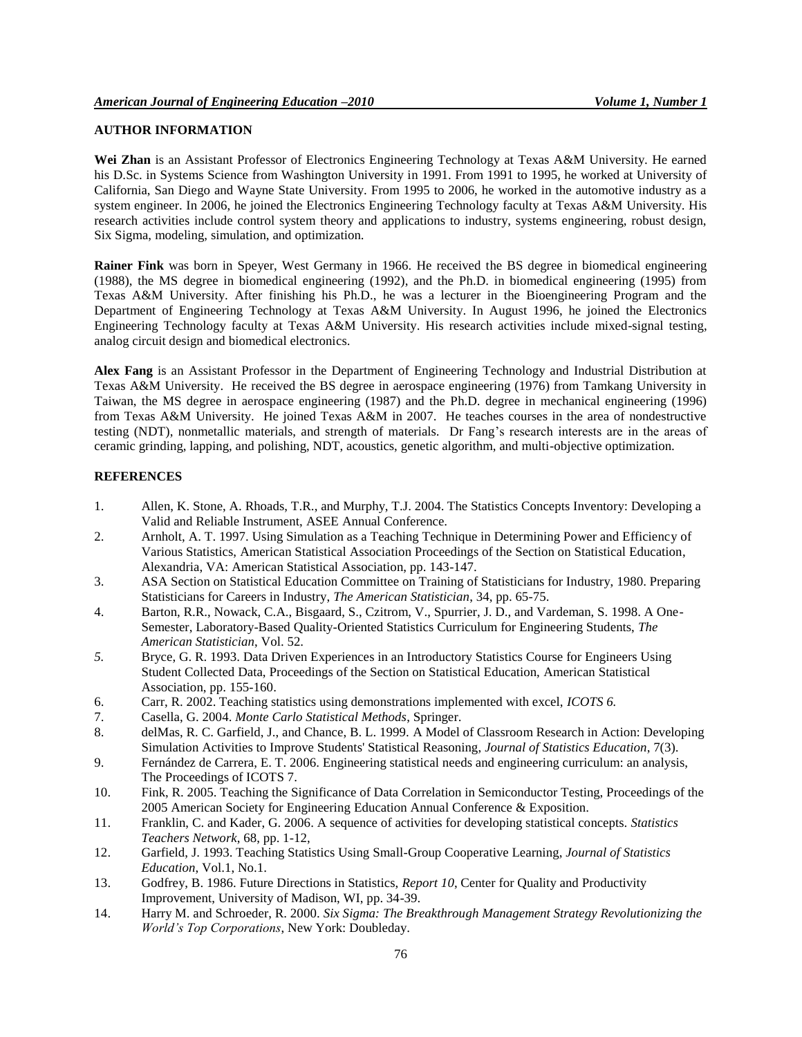# **AUTHOR INFORMATION**

**Wei Zhan** is an Assistant Professor of Electronics Engineering Technology at Texas A&M University. He earned his D.Sc. in Systems Science from Washington University in 1991. From 1991 to 1995, he worked at University of California, San Diego and Wayne State University. From 1995 to 2006, he worked in the automotive industry as a system engineer. In 2006, he joined the Electronics Engineering Technology faculty at Texas A&M University. His research activities include control system theory and applications to industry, systems engineering, robust design, Six Sigma, modeling, simulation, and optimization.

**Rainer Fink** was born in Speyer, West Germany in 1966. He received the BS degree in biomedical engineering (1988), the MS degree in biomedical engineering (1992), and the Ph.D. in biomedical engineering (1995) from Texas A&M University. After finishing his Ph.D., he was a lecturer in the Bioengineering Program and the Department of Engineering Technology at Texas A&M University. In August 1996, he joined the Electronics Engineering Technology faculty at Texas A&M University. His research activities include mixed-signal testing, analog circuit design and biomedical electronics.

**Alex Fang** is an Assistant Professor in the Department of Engineering Technology and Industrial Distribution at Texas A&M University. He received the BS degree in aerospace engineering (1976) from Tamkang University in Taiwan, the MS degree in aerospace engineering (1987) and the Ph.D. degree in mechanical engineering (1996) from Texas A&M University. He joined Texas A&M in 2007. He teaches courses in the area of nondestructive testing (NDT), nonmetallic materials, and strength of materials. Dr Fang's research interests are in the areas of ceramic grinding, lapping, and polishing, NDT, acoustics, genetic algorithm, and multi-objective optimization.

## **REFERENCES**

- 1. Allen, K. Stone, A. Rhoads, T.R., and Murphy, T.J. 2004. The Statistics Concepts Inventory: Developing a Valid and Reliable Instrument, ASEE Annual Conference.
- 2. Arnholt, A. T. 1997. Using Simulation as a Teaching Technique in Determining Power and Efficiency of Various Statistics, American Statistical Association Proceedings of the Section on Statistical Education, Alexandria, VA: American Statistical Association, pp. 143-147.
- 3. ASA Section on Statistical Education Committee on Training of Statisticians for Industry, 1980. Preparing Statisticians for Careers in Industry, *The American Statistician*, 34, pp. 65-75.
- 4. Barton, R.R., Nowack, C.A., Bisgaard, S., Czitrom, V., Spurrier, J. D., and Vardeman, S. 1998. A One-Semester, Laboratory-Based Quality-Oriented Statistics Curriculum for Engineering Students, *The American Statistician*, Vol. 52.
- *5.* Bryce, G. R. 1993. Data Driven Experiences in an Introductory Statistics Course for Engineers Using Student Collected Data, Proceedings of the Section on Statistical Education, American Statistical Association, pp. 155-160.
- 6. Carr, R. 2002. Teaching statistics using demonstrations implemented with excel, *ICOTS 6.*
- 7. Casella, G. 2004. *Monte Carlo Statistical Methods*, Springer.
- 8. delMas, R. C. Garfield, J., and Chance, B. L. 1999. [A Model of Classroom Research in Action: Developing](http://www.amstat.org/publications/jse/secure/v7n3/delmas.cfm)  [Simulation Activities to Improve Students' Statistical Reasoning,](http://www.amstat.org/publications/jse/secure/v7n3/delmas.cfm) *Journal of Statistics Education*, 7(3).
- 9. Fernández de Carrera, E. T. 2006. Engineering statistical needs and engineering curriculum: an analysis, The Proceedings of ICOTS 7.
- 10. Fink, R. 2005. Teaching the Significance of Data Correlation in Semiconductor Testing, Proceedings of the 2005 American Society for Engineering Education Annual Conference & Exposition.
- 11. Franklin, C. and Kader, G. 2006. A sequence of activities for developing statistical concepts. *Statistics Teachers Network*, 68, pp. 1-12,
- 12. Garfield, J. 1993. Teaching Statistics Using Small-Group Cooperative Learning, *Journal of Statistics Education*, Vol.1, No.1.
- 13. Godfrey, B. 1986. Future Directions in Statistics, *Report 10*, Center for Quality and Productivity Improvement, University of Madison, WI, pp. 34-39.
- 14. Harry M. and Schroeder, R. 2000. *Six Sigma: The Breakthrough Management Strategy Revolutionizing the World's Top Corporations*, New York: Doubleday.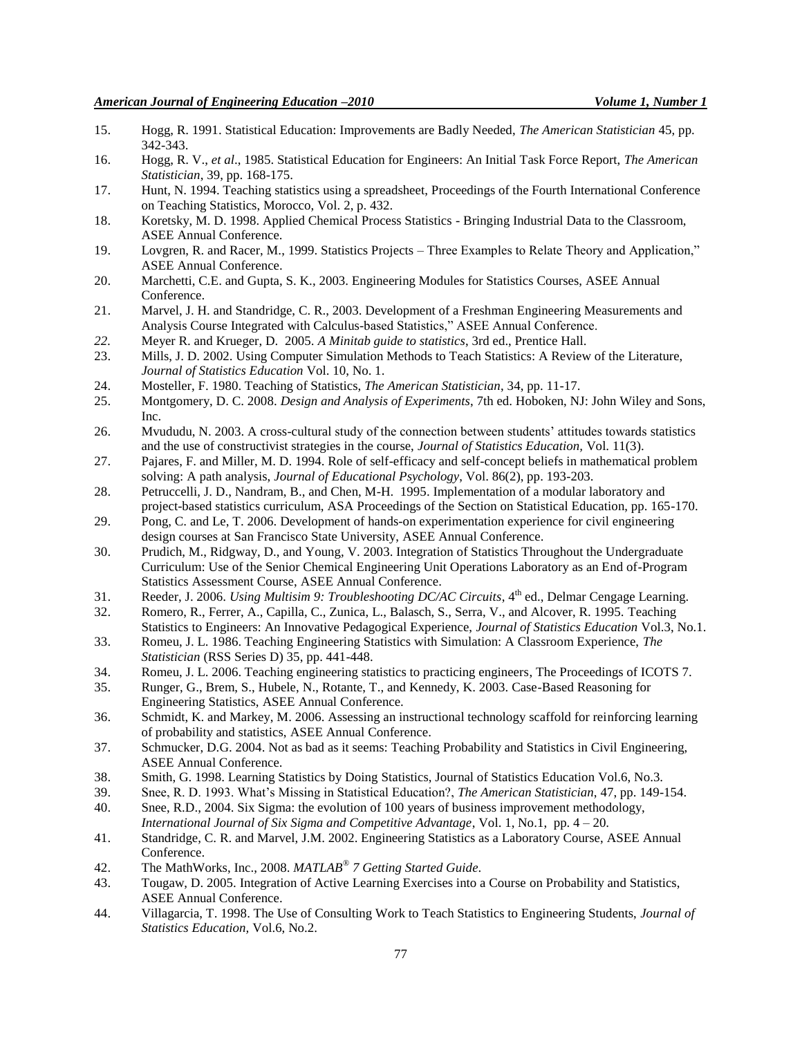- 15. Hogg, R. 1991. Statistical Education: Improvements are Badly Needed, *The American Statistician* 45, pp. 342-343.
- 16. Hogg, R. V., *et al*., 1985. Statistical Education for Engineers: An Initial Task Force Report, *The American Statistician*, 39, pp. 168-175.
- 17. Hunt, N. 1994. Teaching statistics using a spreadsheet, Proceedings of the Fourth International Conference on Teaching Statistics, Morocco, Vol. 2, p. 432.
- 18. Koretsky, M. D. 1998. Applied Chemical Process Statistics Bringing Industrial Data to the Classroom, ASEE Annual Conference.
- 19. Lovgren, R. and Racer, M., 1999. Statistics Projects Three Examples to Relate Theory and Application," ASEE Annual Conference.
- 20. Marchetti, C.E. and Gupta, S. K., 2003. Engineering Modules for Statistics Courses, ASEE Annual Conference.
- 21. Marvel, J. H. and Standridge, C. R., 2003. Development of a Freshman Engineering Measurements and Analysis Course Integrated with Calculus-based Statistics," ASEE Annual Conference.
- *22.* Meyer R. and Krueger, D. 2005. *A Minitab guide to statistics*, 3rd ed., Prentice Hall.
- 23. Mills, J. D. 2002. Using Computer Simulation Methods to Teach Statistics: A Review of the Literature, *Journal of Statistics Education* Vol. 10, No. 1.
- 24. Mosteller, F. 1980. Teaching of Statistics, *The American Statistician*, 34, pp. 11-17.
- 25. Montgomery, D. C. 2008. *Design and Analysis of Experiments*, 7th ed. Hoboken, NJ: John Wiley and Sons, Inc.
- 26. Mvududu, N. 2003. A cross-cultural study of the connection between students' attitudes towards statistics and the use of constructivist strategies in the course, *Journal of Statistics Education,* Vol. 11(3).
- 27. Pajares, F. and Miller, M. D. 1994. Role of self-efficacy and self-concept beliefs in mathematical problem solving: A path analysis, *Journal of Educational Psychology*, Vol. 86(2), pp. 193-203.
- 28. Petruccelli, J. D., Nandram, B., and Chen, M-H. 1995. Implementation of a modular laboratory and project-based statistics curriculum, ASA Proceedings of the Section on Statistical Education, pp. 165-170.
- 29. Pong, C. and Le, T. 2006. Development of hands-on experimentation experience for civil engineering design courses at San Francisco State University, ASEE Annual Conference.
- 30. Prudich, M., Ridgway, D., and Young, V. 2003. Integration of Statistics Throughout the Undergraduate Curriculum: Use of the Senior Chemical Engineering Unit Operations Laboratory as an End of-Program Statistics Assessment Course, ASEE Annual Conference.
- 31. Reeder, J. 2006. *Using Multisim 9: Troubleshooting DC/AC Circuits*, 4<sup>th</sup> ed., Delmar Cengage Learning.
- 32. Romero, R., Ferrer, A., Capilla, C., Zunica, L., Balasch, S., Serra, V., and Alcover, R. 1995. Teaching Statistics to Engineers: An Innovative Pedagogical Experience, *Journal of Statistics Education* Vol.3, No.1.
- 33. Romeu, J. L. 1986. Teaching Engineering Statistics with Simulation: A Classroom Experience, *The Statistician* (RSS Series D) 35, pp. 441-448.
- 34. Romeu, J. L. 2006. Teaching engineering statistics to practicing engineers, The Proceedings of ICOTS 7.
- 35. Runger, G., Brem, S., Hubele, N., Rotante, T., and Kennedy, K. 2003. Case-Based Reasoning for Engineering Statistics, ASEE Annual Conference.
- 36. Schmidt, K. and Markey, M. 2006. Assessing an instructional technology scaffold for reinforcing learning of probability and statistics, ASEE Annual Conference.
- 37. Schmucker, D.G. 2004. Not as bad as it seems: Teaching Probability and Statistics in Civil Engineering, ASEE Annual Conference.
- 38. Smith, G. 1998. Learning Statistics by Doing Statistics, Journal of Statistics Education Vol.6, No.3.
- 39. Snee, R. D. 1993. What's Missing in Statistical Education?, *The American Statistician*, 47, pp. 149-154.
- 40. Snee, R.D., 2004. Six Sigma: the evolution of 100 years of business improvement methodology, *International Journal of Six Sigma and Competitive Advantage*, Vol. 1, No.1, pp. 4 – 20.
- 41. Standridge, C. R. and Marvel, J.M. 2002. Engineering Statistics as a Laboratory Course, ASEE Annual Conference.
- 42. The MathWorks, Inc., 2008. *MATLAB® 7 Getting Started Guide*.
- 43. Tougaw, D. 2005. Integration of Active Learning Exercises into a Course on Probability and Statistics, ASEE Annual Conference.
- 44. Villagarcia, T. 1998. The Use of Consulting Work to Teach Statistics to Engineering Students, *Journal of Statistics Education,* Vol.6, No.2.